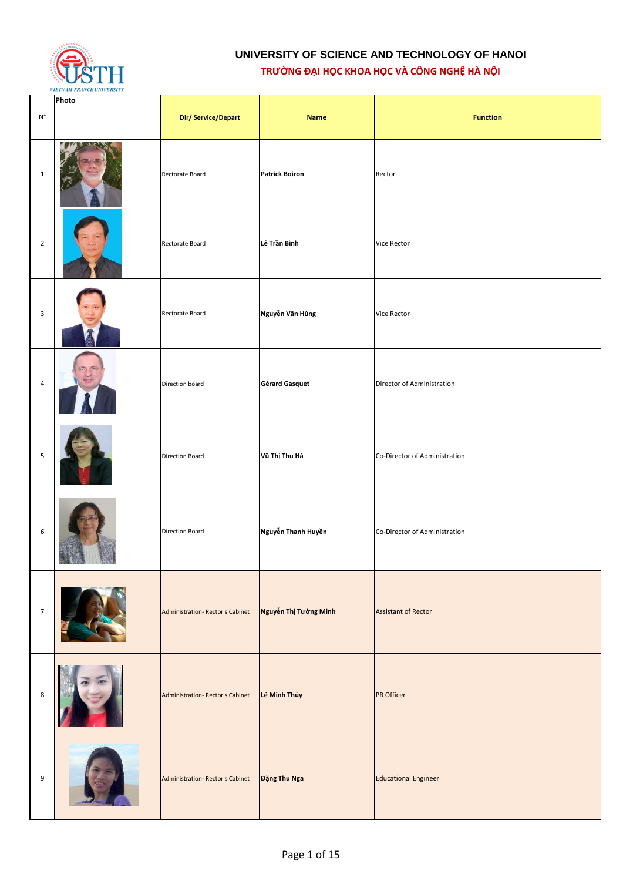

| $\mathsf{N}^\circ$ | Photo | Dir/Service/Depart              | <b>Name</b>           | <b>Function</b>               |
|--------------------|-------|---------------------------------|-----------------------|-------------------------------|
| $\mathbf{1}$       |       | Rectorate Board                 | <b>Patrick Boiron</b> | Rector                        |
| $\overline{2}$     |       | Rectorate Board                 | Lê Trần Bình          | Vice Rector                   |
| 3                  |       | Rectorate Board                 | Nguyễn Văn Hùng       | Vice Rector                   |
| $\overline{4}$     |       | Direction board                 | <b>Gérard Gasquet</b> | Director of Administration    |
| 5                  |       | <b>Direction Board</b>          | Vũ Thị Thu Hà         | Co-Director of Administration |
| 6                  |       | <b>Direction Board</b>          | Nguyễn Thanh Huyền    | Co-Director of Administration |
| $\overline{7}$     |       | Administration-Rector's Cabinet | Nguyễn Thị Tường Minh | <b>Assistant of Rector</b>    |
| 8                  |       | Administration-Rector's Cabinet | Lê Minh Thủy          | PR Officer                    |
| 9                  |       | Administration-Rector's Cabinet | Đặng Thu Nga          | <b>Educational Engineer</b>   |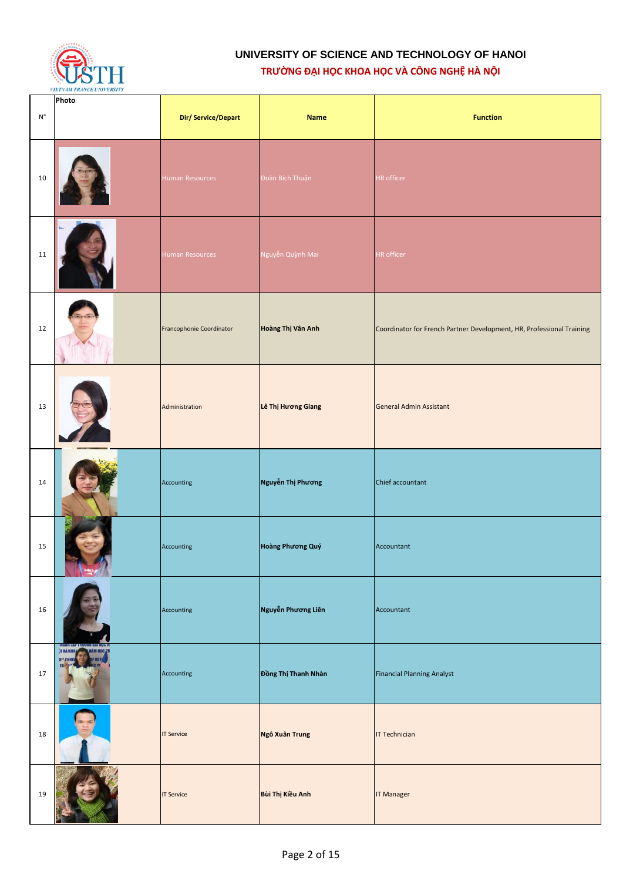

| $\mathsf{N}^\circ$ | Photo                         | Dir/Service/Depart       | <b>Name</b>         | <b>Function</b>                                                       |
|--------------------|-------------------------------|--------------------------|---------------------|-----------------------------------------------------------------------|
| 10                 |                               | <b>Human Resources</b>   | Đoàn Bích Thuận     | HR officer                                                            |
| 11                 |                               | <b>Human Resources</b>   | Nguyễn Quỳnh Mai    | HR officer                                                            |
| 12                 |                               | Francophonie Coordinator | Hoàng Thị Vân Anh   | Coordinator for French Partner Development, HR, Professional Training |
| 13                 |                               | Administration           | Lê Thị Hương Giang  | <b>General Admin Assistant</b>                                        |
| 14                 |                               | Accounting               | Nguyễn Thị Phương   | Chief accountant                                                      |
| 15                 |                               | Accounting               | Hoàng Phương Quý    | Accountant                                                            |
| 16                 |                               | Accounting               | Nguyễn Phương Liên  | Accountant                                                            |
| 17                 | <b>JI VÀ KHI</b><br>5"<br>FI. | Accounting               | Đồng Thị Thanh Nhàn | <b>Financial Planning Analyst</b>                                     |
| 18                 |                               | <b>IT Service</b>        | Ngô Xuân Trung      | <b>IT Technician</b>                                                  |
| 19                 |                               | <b>IT Service</b>        | Bùi Thị Kiều Anh    | <b>IT Manager</b>                                                     |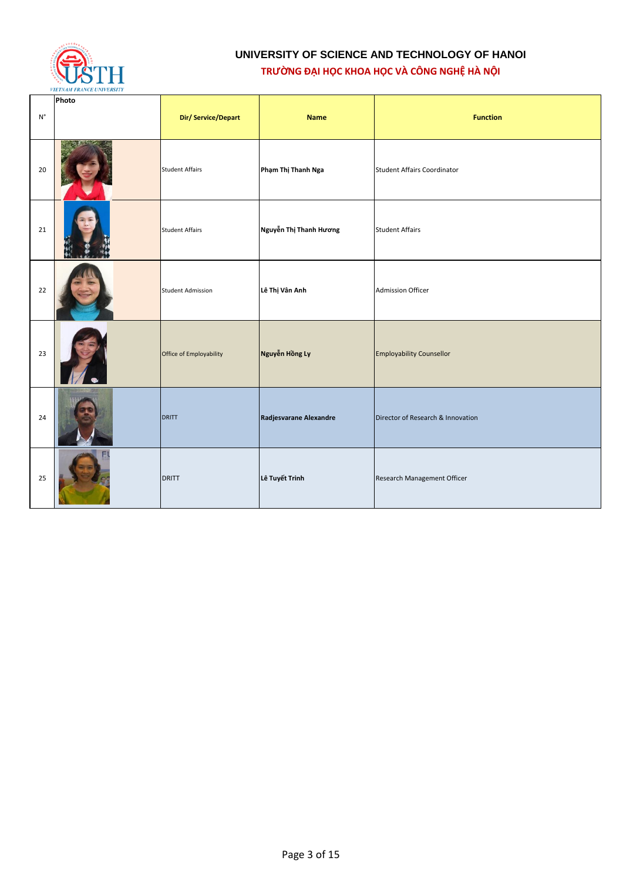

| $\mathsf{N}^\circ$ | Photo | Dir/Service/Depart       | <b>Name</b>            | <b>Function</b>                    |
|--------------------|-------|--------------------------|------------------------|------------------------------------|
|                    |       |                          |                        |                                    |
| 20                 |       | <b>Student Affairs</b>   | Phạm Thị Thanh Nga     | <b>Student Affairs Coordinator</b> |
| 21                 |       | <b>Student Affairs</b>   | Nguyễn Thị Thanh Hương | <b>Student Affairs</b>             |
| 22                 |       | <b>Student Admission</b> | Lê Thị Vân Anh         | <b>Admission Officer</b>           |
| 23                 |       | Office of Employability  | Nguyễn Hồng Ly         | <b>Employability Counsellor</b>    |
| 24                 |       | <b>DRITT</b>             | Radjesvarane Alexandre | Director of Research & Innovation  |
| 25                 |       | <b>DRITT</b>             | Lê Tuyết Trinh         | Research Management Officer        |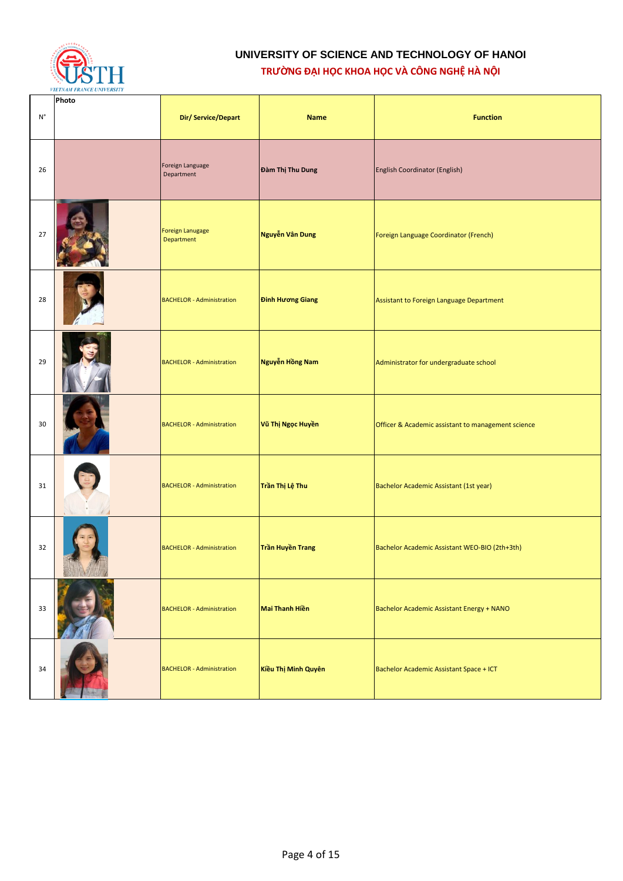

| $\mathsf{N}^\circ$ | Photo | Dir/Service/Depart               | <b>Name</b>                  | <b>Function</b>                                    |
|--------------------|-------|----------------------------------|------------------------------|----------------------------------------------------|
| 26                 |       | Foreign Language<br>Department   | Đàm Thị Thu Dung             | <b>English Coordinator (English)</b>               |
| 27                 |       | Foreign Lanugage<br>Department   | Nguyễn Vân Dung              | Foreign Language Coordinator (French)              |
| 28                 |       | <b>BACHELOR - Administration</b> | <b>Đinh Hương Giang</b>      | Assistant to Foreign Language Department           |
| 29                 |       | <b>BACHELOR - Administration</b> | Nguyễn Hồng Nam              | Administrator for undergraduate school             |
| 30                 |       | <b>BACHELOR - Administration</b> | Vũ Thị Ngọc Huyền            | Officer & Academic assistant to management science |
| 31                 |       | <b>BACHELOR - Administration</b> | <mark>Trần Thị Lệ Thu</mark> | Bachelor Academic Assistant (1st year)             |
| 32                 |       | <b>BACHELOR</b> - Administration | Trần Huyền Trang             | Bachelor Academic Assistant WEO-BIO (2th+3th)      |
| 33                 |       | <b>BACHELOR - Administration</b> | <b>Mai Thanh Hiền</b>        | Bachelor Academic Assistant Energy + NANO          |
| 34                 |       | <b>BACHELOR - Administration</b> | Kiều Thị Minh Quyên          | Bachelor Academic Assistant Space + ICT            |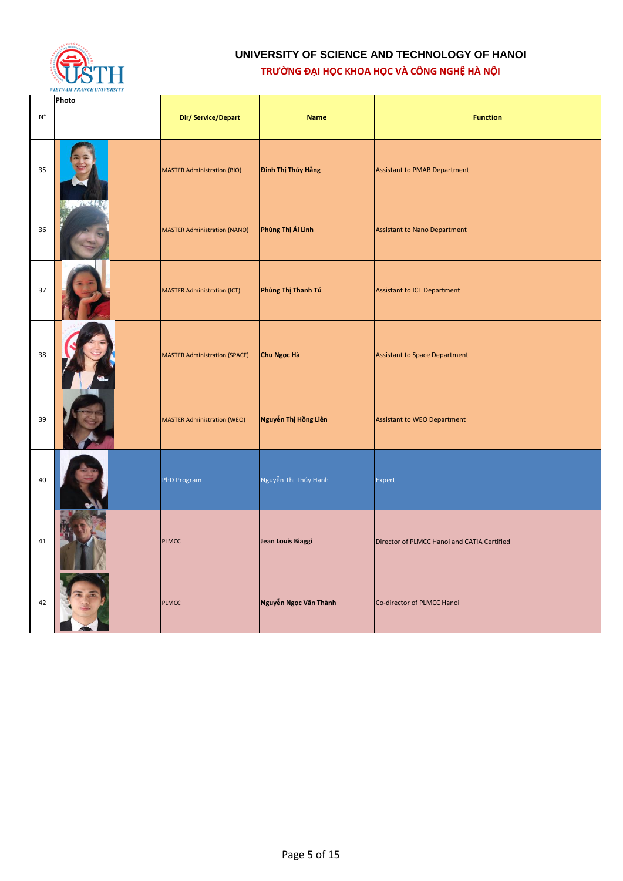

| $\mathsf{N}^\circ$ | Photo | Dir/Service/Depart                   | <b>Name</b>           | <b>Function</b>                             |
|--------------------|-------|--------------------------------------|-----------------------|---------------------------------------------|
| 35                 |       | <b>MASTER Administration (BIO)</b>   | Đinh Thị Thúy Hằng    | <b>Assistant to PMAB Department</b>         |
| 36                 |       | <b>MASTER Administration (NANO)</b>  | Phùng Thị Ái Linh     | <b>Assistant to Nano Department</b>         |
| 37                 |       | <b>MASTER Administration (ICT)</b>   | Phùng Thị Thanh Tú    | Assistant to ICT Department                 |
| 38                 |       | <b>MASTER Administration (SPACE)</b> | Chu Ngọc Hà           | <b>Assistant to Space Department</b>        |
| 39                 |       | <b>MASTER Administration (WEO)</b>   | Nguyễn Thị Hồng Liên  | Assistant to WEO Department                 |
| 40                 |       | <b>PhD Program</b>                   | Nguyễn Thị Thúy Hạnh  | Expert                                      |
| 41                 |       | <b>PLMCC</b>                         | Jean Louis Biaggi     | Director of PLMCC Hanoi and CATIA Certified |
| 42                 |       | <b>PLMCC</b>                         | Nguyễn Ngọc Văn Thành | Co-director of PLMCC Hanoi                  |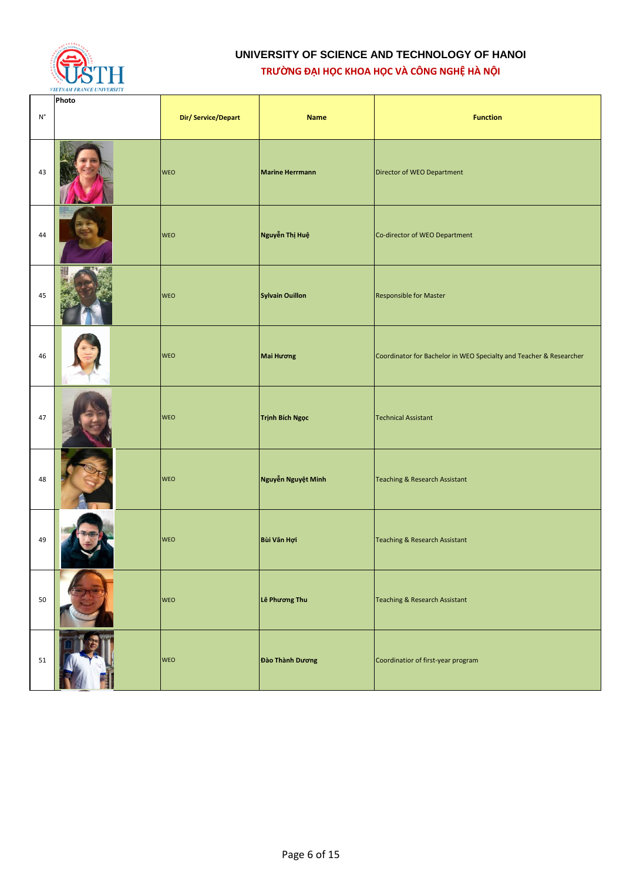

|                    | Photo |                    |                        |                                                                    |
|--------------------|-------|--------------------|------------------------|--------------------------------------------------------------------|
| $\mathsf{N}^\circ$ |       | Dir/Service/Depart | <b>Name</b>            | <b>Function</b>                                                    |
| 43                 |       | <b>WEO</b>         | <b>Marine Herrmann</b> | Director of WEO Department                                         |
| 44                 |       | <b>WEO</b>         | Nguyễn Thị Huệ         | Co-director of WEO Department                                      |
| 45                 |       | <b>WEO</b>         | <b>Sylvain Ouillon</b> | Responsible for Master                                             |
| 46                 |       | <b>WEO</b>         | Mai Hương              | Coordinator for Bachelor in WEO Specialty and Teacher & Researcher |
| 47                 |       | <b>WEO</b>         | <b>Trịnh Bích Ngọc</b> | <b>Technical Assistant</b>                                         |
| 48                 |       | <b>WEO</b>         | Nguyễn Nguyệt Minh     | <b>Teaching &amp; Research Assistant</b>                           |
| 49                 |       | <b>WEO</b>         | Bùi Văn Hợi            | <b>Teaching &amp; Research Assistant</b>                           |
| 50                 |       | <b>WEO</b>         | Lê Phương Thu          | <b>Teaching &amp; Research Assistant</b>                           |
| 51                 |       | WEO                | Đào Thành Dương        | Coordinatior of first-year program                                 |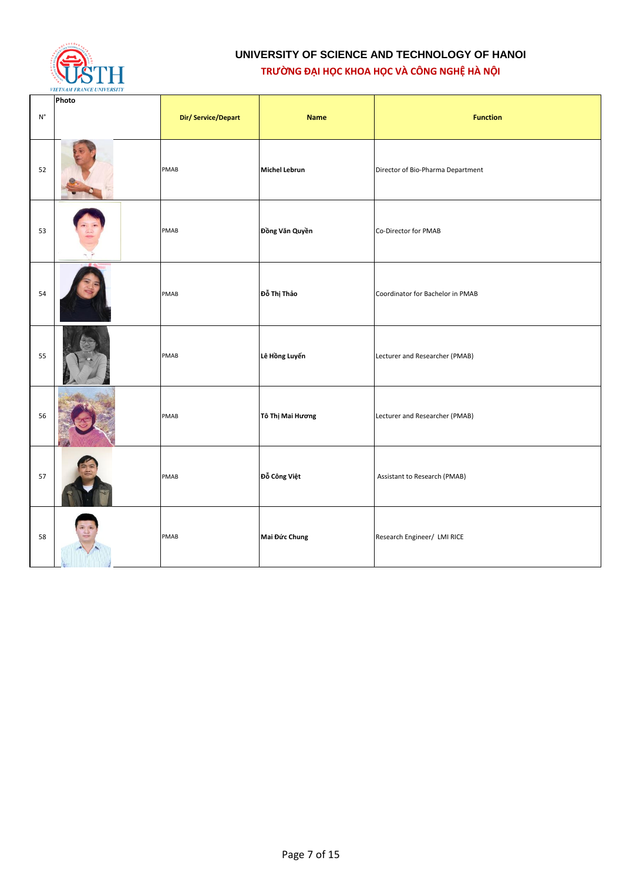

| $\mathsf{N}^\circ$ | Photo | Dir/Service/Depart | <b>Name</b>          | <b>Function</b>                   |
|--------------------|-------|--------------------|----------------------|-----------------------------------|
| 52                 |       | PMAB               | <b>Michel Lebrun</b> | Director of Bio-Pharma Department |
| 53                 |       | PMAB               | Đồng Văn Quyền       | Co-Director for PMAB              |
| 54                 |       | PMAB               | Đỗ Thị Thảo          | Coordinator for Bachelor in PMAB  |
| 55                 |       | PMAB               | Lê Hồng Luyến        | Lecturer and Researcher (PMAB)    |
| 56                 |       | PMAB               | Tô Thị Mai Hương     | Lecturer and Researcher (PMAB)    |
| 57                 |       | PMAB               | Đỗ Công Việt         | Assistant to Research (PMAB)      |
| 58                 |       | PMAB               | Mai Đức Chung        | Research Engineer/ LMI RICE       |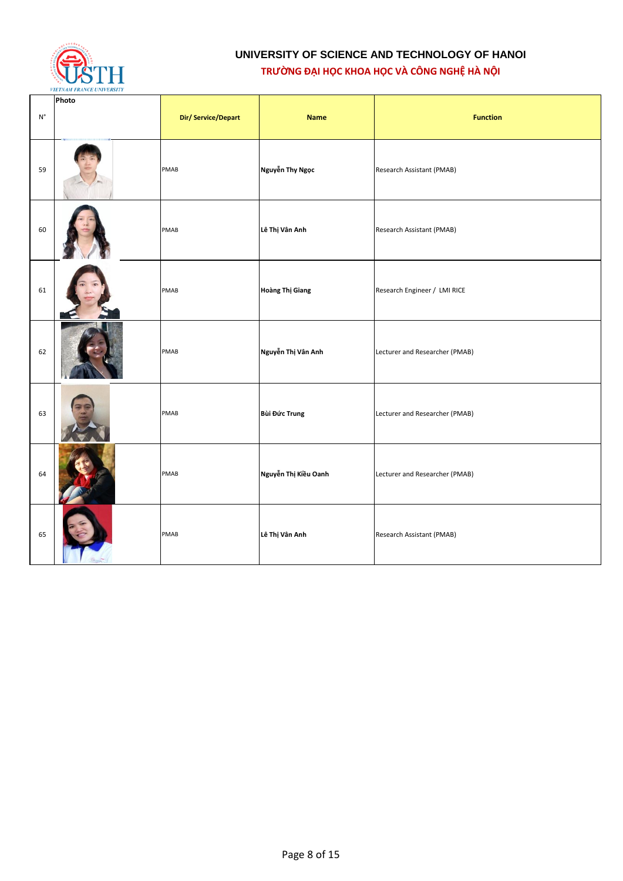

| $\mathsf{N}^\circ$ | Photo | Dir/Service/Depart | <b>Name</b>          | <b>Function</b>                |
|--------------------|-------|--------------------|----------------------|--------------------------------|
| 59                 |       | <b>PMAB</b>        | Nguyễn Thy Ngọc      | Research Assistant (PMAB)      |
| 60                 |       | PMAB               | Lê Thị Vân Anh       | Research Assistant (PMAB)      |
| 61                 |       | PMAB               | Hoàng Thị Giang      | Research Engineer / LMI RICE   |
| 62                 |       | PMAB               | Nguyễn Thị Vân Anh   | Lecturer and Researcher (PMAB) |
| 63                 |       | PMAB               | Bùi Đức Trung        | Lecturer and Researcher (PMAB) |
| 64                 |       | PMAB               | Nguyễn Thị Kiều Oanh | Lecturer and Researcher (PMAB) |
| 65                 |       | PMAB               | Lê Thị Vân Anh       | Research Assistant (PMAB)      |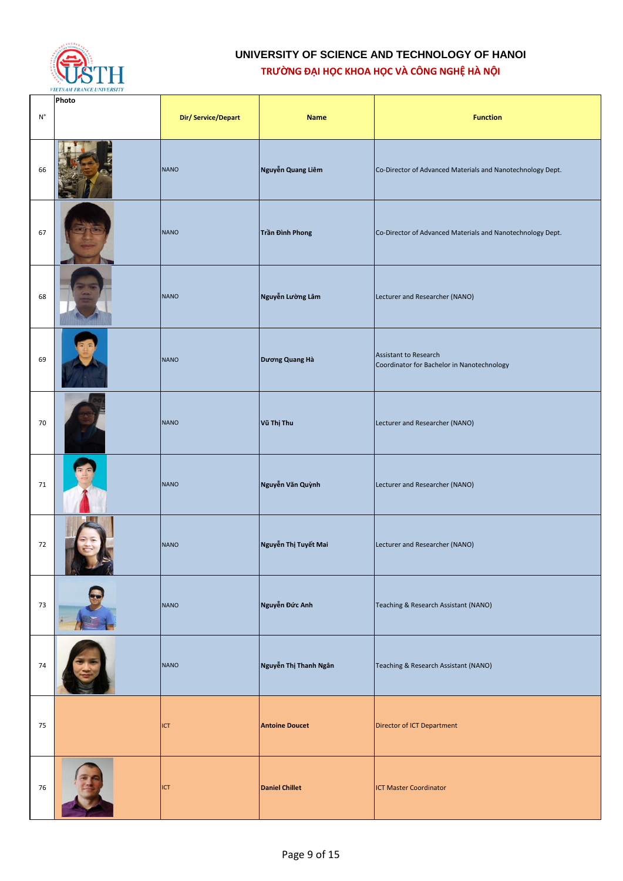

|                    | Photo |                    |                       |                                                                     |
|--------------------|-------|--------------------|-----------------------|---------------------------------------------------------------------|
| $\mathsf{N}^\circ$ |       | Dir/Service/Depart | <b>Name</b>           | <b>Function</b>                                                     |
| 66                 |       | <b>NANO</b>        | Nguyễn Quang Liêm     | Co-Director of Advanced Materials and Nanotechnology Dept.          |
| 67                 |       | <b>NANO</b>        | Trần Đình Phong       | Co-Director of Advanced Materials and Nanotechnology Dept.          |
| 68                 |       | <b>NANO</b>        | Nguyễn Lường Lâm      | Lecturer and Researcher (NANO)                                      |
| 69                 |       | <b>NANO</b>        | Dương Quang Hà        | Assistant to Research<br>Coordinator for Bachelor in Nanotechnology |
| 70                 |       | <b>NANO</b>        | Vũ Thị Thu            | Lecturer and Researcher (NANO)                                      |
| 71                 |       | <b>NANO</b>        | Nguyễn Văn Quỳnh      | Lecturer and Researcher (NANO)                                      |
| 72                 |       | <b>NANO</b>        | Nguyễn Thị Tuyết Mai  | Lecturer and Researcher (NANO)                                      |
| 73                 |       | <b>NANO</b>        | Nguyễn Đức Anh        | Teaching & Research Assistant (NANO)                                |
| 74                 |       | <b>NANO</b>        | Nguyễn Thị Thanh Ngân | Teaching & Research Assistant (NANO)                                |
| 75                 |       | ICT                | <b>Antoine Doucet</b> | Director of ICT Department                                          |
| 76                 |       | ICT                | <b>Daniel Chillet</b> | <b>ICT Master Coordinator</b>                                       |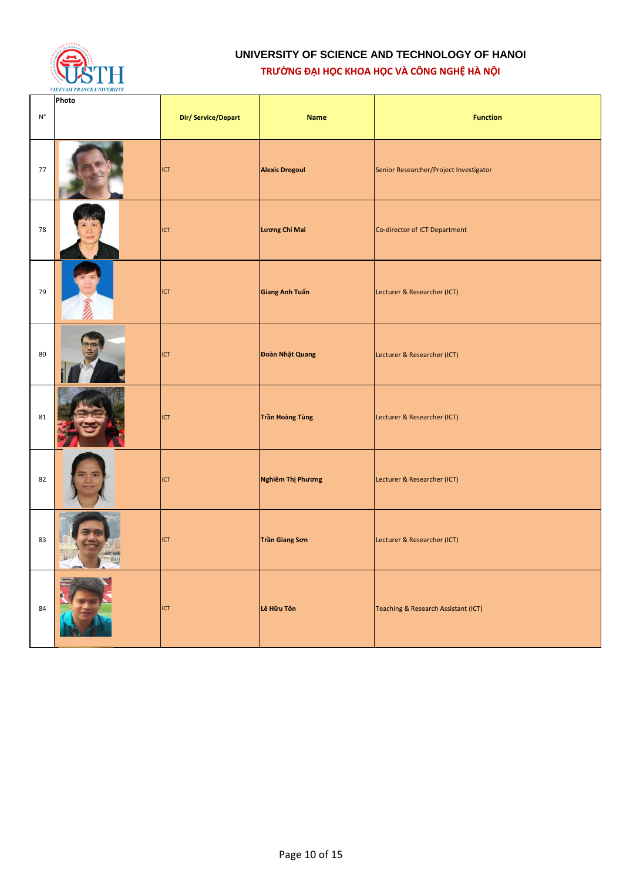

| $\mathsf{N}^\circ$ | Photo                             | Dir/Service/Depart | <b>Name</b>           | <b>Function</b>                        |
|--------------------|-----------------------------------|--------------------|-----------------------|----------------------------------------|
| 77                 |                                   | <b>ICT</b>         | <b>Alexis Drogoul</b> | Senior Researcher/Project Investigator |
| 78                 |                                   | ICT                | Lương Chi Mai         | Co-director of ICT Department          |
| 79                 |                                   | <b>ICT</b>         | Giang Anh Tuấn        | Lecturer & Researcher (ICT)            |
| 80                 |                                   | ICT                | Đoàn Nhật Quang       | Lecturer & Researcher (ICT)            |
| 81                 |                                   | ICT                | Trần Hoàng Tùng       | Lecturer & Researcher (ICT)            |
| 82                 |                                   | ICT                | Nghiêm Thị Phương     | Lecturer & Researcher (ICT)            |
| 83                 | Ei11<br>$\overline{1}$<br>- 1970) | <b>ICT</b>         | Trần Giang Sơn        | Lecturer & Researcher (ICT)            |
| 84                 |                                   | ICT                | Lê Hữu Tôn            | Teaching & Research Assistant (ICT)    |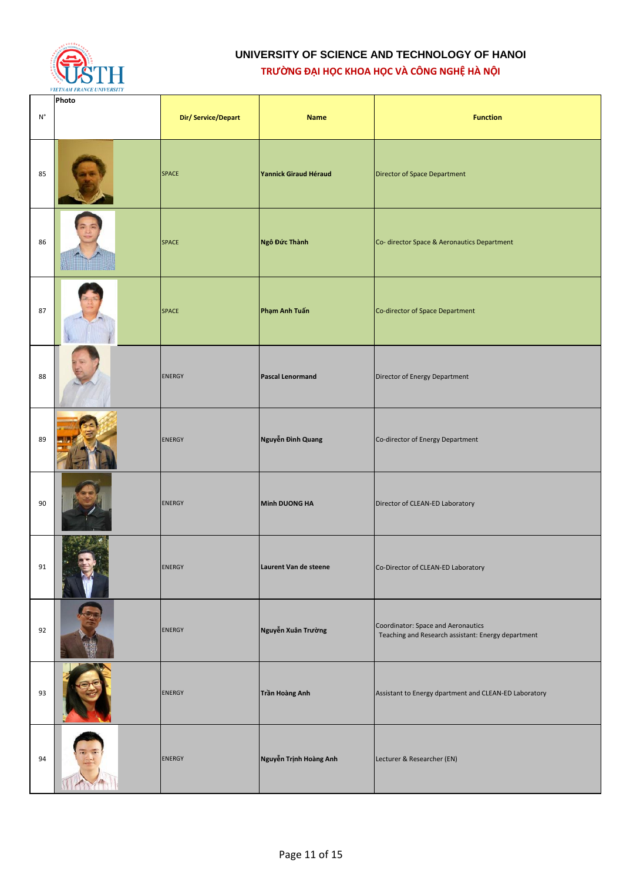

| $\mathsf{N}^\circ$ | Photo | Dir/Service/Depart | <b>Name</b>                  | <b>Function</b>                                                                          |
|--------------------|-------|--------------------|------------------------------|------------------------------------------------------------------------------------------|
| 85                 |       | <b>SPACE</b>       | <b>Yannick Giraud Héraud</b> | Director of Space Department                                                             |
| 86                 |       | <b>SPACE</b>       | Ngô Đức Thành                | Co- director Space & Aeronautics Department                                              |
| 87                 |       | <b>SPACE</b>       | Phạm Anh Tuấn                | Co-director of Space Department                                                          |
| 88                 |       | <b>ENERGY</b>      | <b>Pascal Lenormand</b>      | Director of Energy Department                                                            |
| 89                 |       | <b>ENERGY</b>      | Nguyễn Đình Quang            | Co-director of Energy Department                                                         |
| 90                 |       | <b>ENERGY</b>      | Minh DUONG HA                | Director of CLEAN-ED Laboratory                                                          |
| 91                 |       | <b>ENERGY</b>      | Laurent Van de steene        | Co-Director of CLEAN-ED Laboratory                                                       |
| 92                 |       | <b>ENERGY</b>      | Nguyễn Xuân Trường           | Coordinator: Space and Aeronautics<br>Teaching and Research assistant: Energy department |
| 93                 |       | <b>ENERGY</b>      | Trần Hoàng Anh               | Assistant to Energy dpartment and CLEAN-ED Laboratory                                    |
| 94                 |       | <b>ENERGY</b>      | Nguyễn Trịnh Hoàng Anh       | Lecturer & Researcher (EN)                                                               |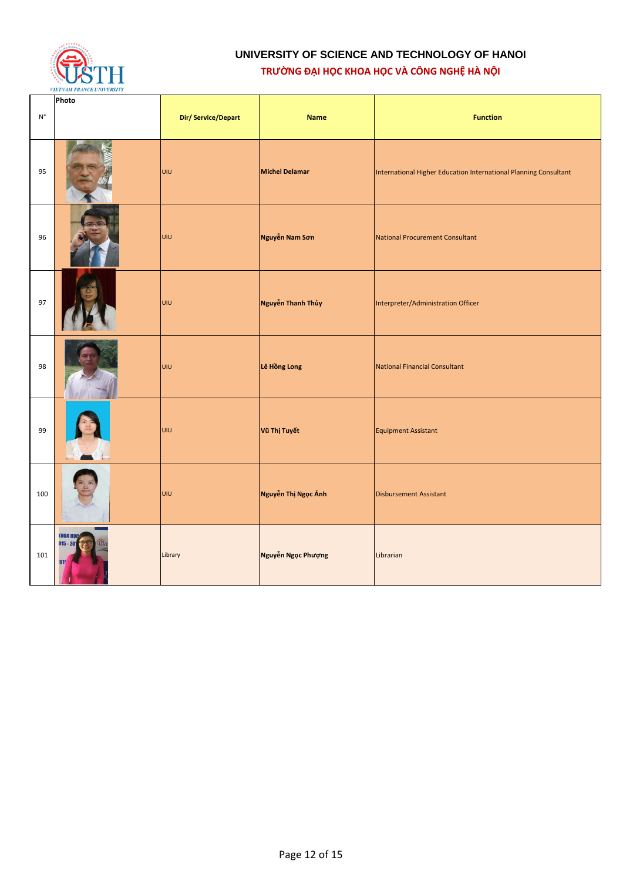

| $\mathsf{N}^\circ$ | Photo                                              | Dir/Service/Depart | <b>Name</b>           | <b>Function</b>                                                  |
|--------------------|----------------------------------------------------|--------------------|-----------------------|------------------------------------------------------------------|
| 95                 |                                                    | UIU                | <b>Michel Delamar</b> | International Higher Education International Planning Consultant |
| 96                 |                                                    | UIU                | Nguyễn Nam Sơn        | <b>National Procurement Consultant</b>                           |
| 97                 |                                                    | UIU                | Nguyễn Thanh Thủy     | Interpreter/Administration Officer                               |
| 98                 |                                                    | UIU                | Lê Hồng Long          | <b>National Financial Consultant</b>                             |
| 99                 |                                                    | UIU                | Vũ Thị Tuyết          | <b>Equipment Assistant</b>                                       |
| 100                |                                                    | UIU                | Nguyễn Thị Ngọc Ánh   | <b>Disbursement Assistant</b>                                    |
| 101                | <b><i><u>КНОА НОС</u></i></b><br>$015 - 20$<br>015 | Library            | Nguyễn Ngọc Phượng    | Librarian                                                        |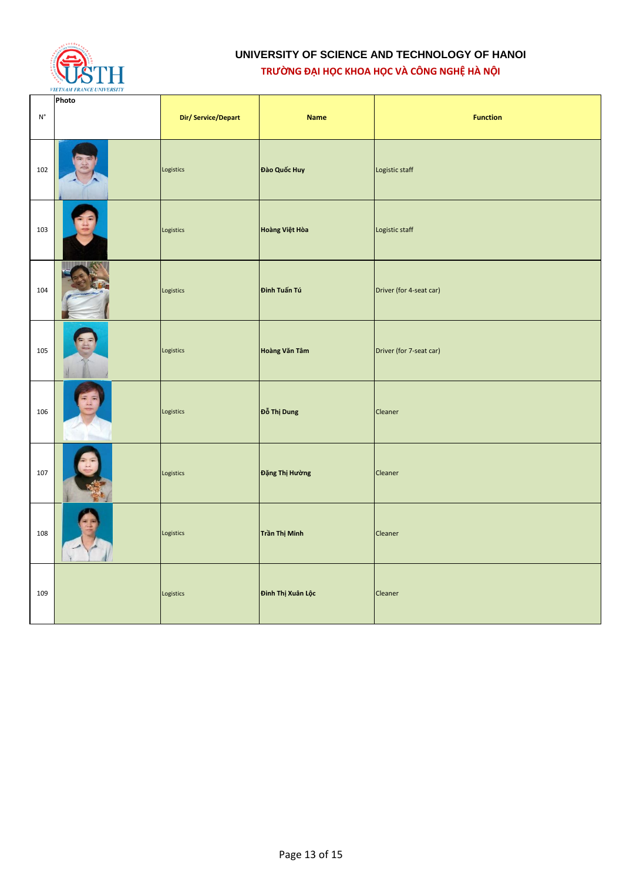

| $\mathsf{N}^\circ$ | Photo | Dir/Service/Depart | <b>Name</b>       | <b>Function</b>         |
|--------------------|-------|--------------------|-------------------|-------------------------|
| 102                |       | Logistics          | Đào Quốc Huy      | Logistic staff          |
| 103                |       | Logistics          | Hoàng Việt Hòa    | Logistic staff          |
| 104                |       | Logistics          | Đinh Tuấn Tú      | Driver (for 4-seat car) |
| 105                |       | Logistics          | Hoàng Văn Tâm     | Driver (for 7-seat car) |
| 106                |       | Logistics          | Đỗ Thị Dung       | Cleaner                 |
| 107                |       | Logistics          | Đặng Thị Hường    | Cleaner                 |
| 108                |       | Logistics          | Trần Thị Minh     | Cleaner                 |
| 109                |       | Logistics          | Đinh Thị Xuân Lộc | Cleaner                 |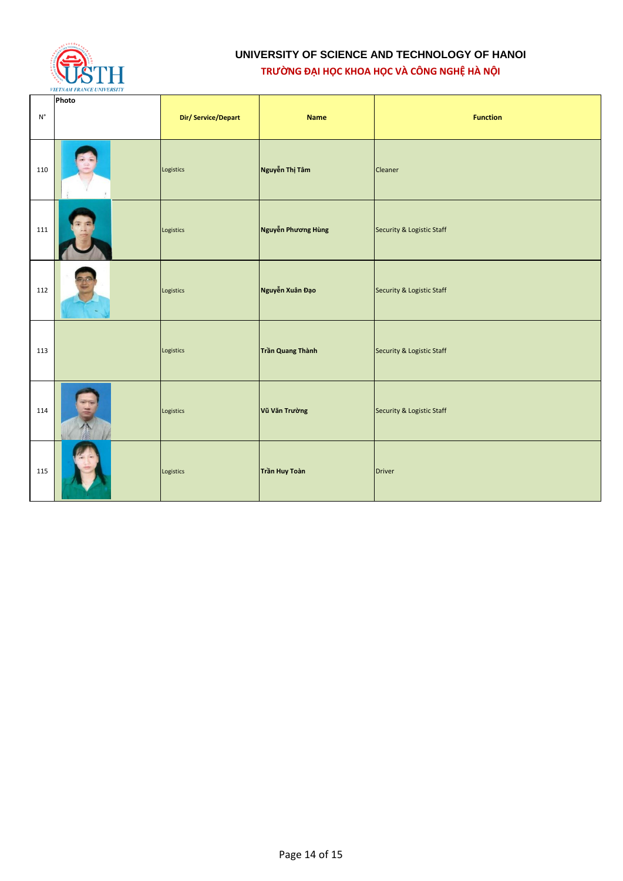

| $\mathsf{N}^\circ$ | Photo | Dir/Service/Depart | <b>Name</b>        | <b>Function</b>           |
|--------------------|-------|--------------------|--------------------|---------------------------|
| 110                |       | Logistics          | Nguyễn Thị Tâm     | Cleaner                   |
|                    |       |                    |                    |                           |
| 111                |       | Logistics          | Nguyễn Phương Hùng | Security & Logistic Staff |
| 112                |       | Logistics          | Nguyễn Xuân Đạo    | Security & Logistic Staff |
| 113                |       | Logistics          | Trần Quang Thành   | Security & Logistic Staff |
| 114                |       | Logistics          | Vũ Văn Trường      | Security & Logistic Staff |
| 115                |       | Logistics          | Trần Huy Toàn      | <b>Driver</b>             |